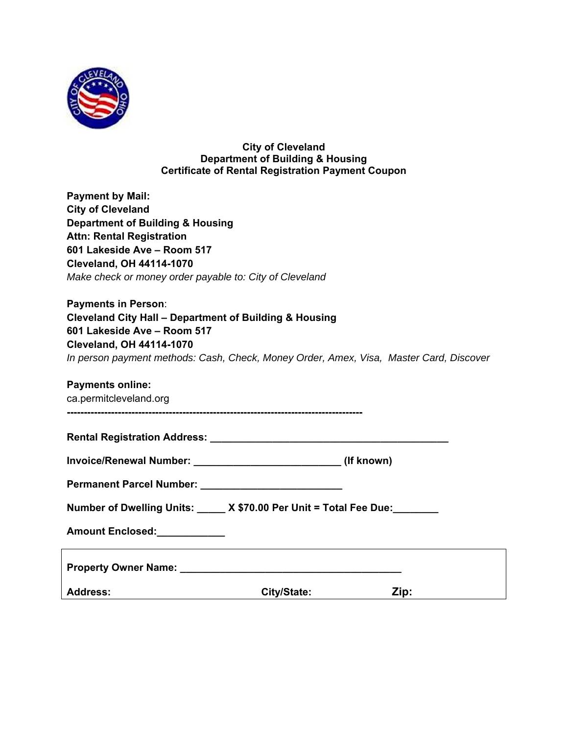

**City of Cleveland Department of Building & Housing Certificate of Rental Registration Payment Coupon** 

**Payment by Mail: City of Cleveland Department of Building & Housing Attn: Rental Registration 601 Lakeside Ave – Room 517 Cleveland, OH 44114-1070**  *Make check or money order payable to: City of Cleveland* 

**Payments in Person**: **Cleveland City Hall – Department of Building & Housing 601 Lakeside Ave – Room 517 Cleveland, OH 44114-1070**  *In person payment methods: Cash, Check, Money Order, Amex, Visa, Master Card, Discover* 

## **Payments online:**

ca.permitcleveland.org

| <b>Rental Registration Address:</b> |  |
|-------------------------------------|--|
|-------------------------------------|--|

| <b>Invoice/Renewal Number:</b> |  | (If known) |
|--------------------------------|--|------------|
|--------------------------------|--|------------|

| <b>Permanent Parcel Number:</b> |  |
|---------------------------------|--|
|---------------------------------|--|

**---------------------------------------------------------------------------------------** 

**Amount Enclosed:\_\_\_\_\_\_\_\_\_\_\_\_** 

| <b>Property Owner Name:</b> |             |      |
|-----------------------------|-------------|------|
| <b>Address:</b>             | City/State: | Zip: |